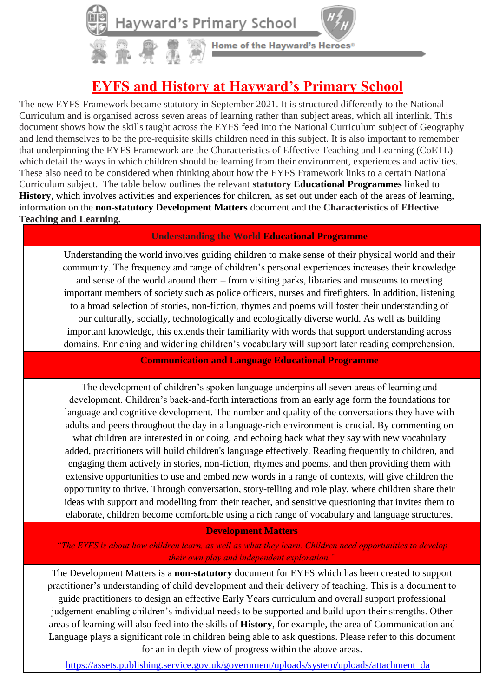

# **EYFS and History at Hayward's Primary School**

Home of the Hayward's Heroes®

The new EYFS Framework became statutory in September 2021. It is structured differently to the National Curriculum and is organised across seven areas of learning rather than subject areas, which all interlink. This document shows how the skills taught across the EYFS feed into the National Curriculum subject of Geography and lend themselves to be the pre-requisite skills children need in this subject. It is also important to remember that underpinning the EYFS Framework are the Characteristics of Effective Teaching and Learning (CoETL) which detail the ways in which children should be learning from their environment, experiences and activities. These also need to be considered when thinking about how the EYFS Framework links to a certain National Curriculum subject. The table below outlines the relevant **statutory Educational Programmes** linked to **History**, which involves activities and experiences for children, as set out under each of the areas of learning, information on the **non-statutory Development Matters** document and the **Characteristics of Effective Teaching and Learning.**

### **Understanding the World Educational Programme**

Understanding the world involves guiding children to make sense of their physical world and their community. The frequency and range of children's personal experiences increases their knowledge and sense of the world around them – from visiting parks, libraries and museums to meeting important members of society such as police officers, nurses and firefighters. In addition, listening to a broad selection of stories, non-fiction, rhymes and poems will foster their understanding of our culturally, socially, technologically and ecologically diverse world. As well as building important knowledge, this extends their familiarity with words that support understanding across domains. Enriching and widening children's vocabulary will support later reading comprehension.

## **Communication and Language Educational Programme**

The development of children's spoken language underpins all seven areas of learning and development. Children's back-and-forth interactions from an early age form the foundations for language and cognitive development. The number and quality of the conversations they have with adults and peers throughout the day in a language-rich environment is crucial. By commenting on what children are interested in or doing, and echoing back what they say with new vocabulary added, practitioners will build children's language effectively. Reading frequently to children, and engaging them actively in stories, non-fiction, rhymes and poems, and then providing them with extensive opportunities to use and embed new words in a range of contexts, will give children the opportunity to thrive. Through conversation, story-telling and role play, where children share their ideas with support and modelling from their teacher, and sensitive questioning that invites them to elaborate, children become comfortable using a rich range of vocabulary and language structures.

### **Development Matters**

## *"The EYFS is about how children learn, as well as what they learn. Children need opportunities to develop their own play and independent exploration."*

The Development Matters is a **non-statutory** document for EYFS which has been created to support practitioner's understanding of child development and their delivery of teaching. This is a document to guide practitioners to design an effective Early Years curriculum and overall support professional judgement enabling children's individual needs to be supported and build upon their strengths. Other areas of learning will also feed into the skills of **History**, for example, the area of Communication and Language plays a significant role in children being able to ask questions. Please refer to this document for an in depth view of progress within the above areas.

[https://assets.publishing.service.gov.uk/government/uploads/system/uploads/attachment\\_da](https://assets.publishing.service.gov.uk/government/uploads/system/uploads/attachment_data/file/1007446/6.7534_DfE_Development_Matters_Report_and_illustrations_web__2_.pdf)